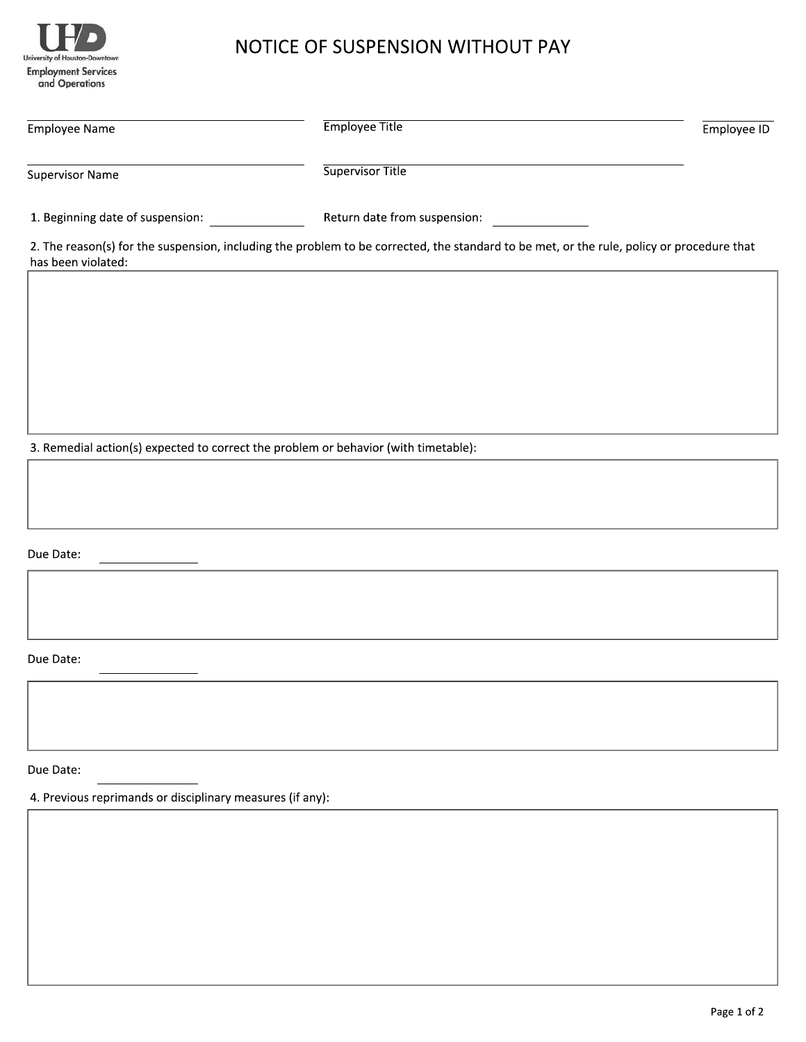

## NOTICE OF SUSPENSION WITHOUT PAY

| <b>Employee Name</b>             | <b>Employee Title</b>                                                                                                                     | Employee ID |
|----------------------------------|-------------------------------------------------------------------------------------------------------------------------------------------|-------------|
| <b>Supervisor Name</b>           | <b>Supervisor Title</b>                                                                                                                   |             |
| 1. Beginning date of suspension: | Return date from suspension:                                                                                                              |             |
| has been violated:               | 2. The reason(s) for the suspension, including the problem to be corrected, the standard to be met, or the rule, policy or procedure that |             |
|                                  |                                                                                                                                           |             |

3. Remedial action(s) expected to correct the problem or behavior (with timetable):

Due Date:

Due Date:

Due Date:

4. Previous reprimands or disciplinary measures (if any):